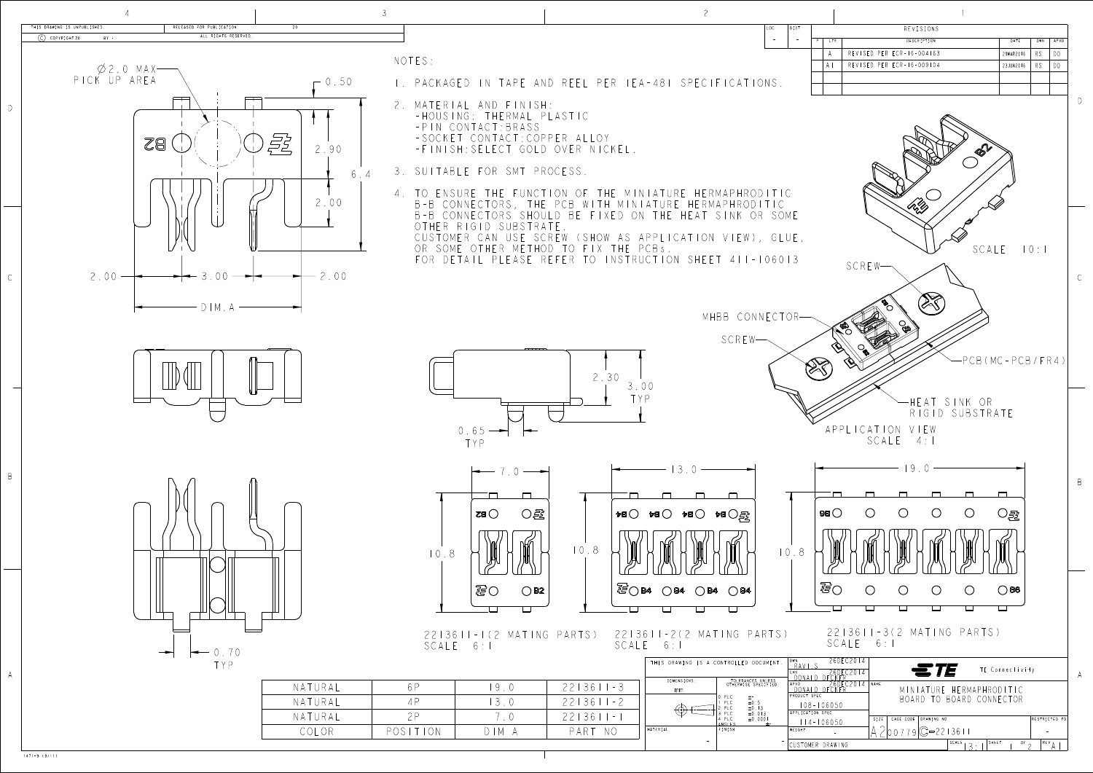1471-9 (3/11)

○寇

 $\bigcirc$  B2

 $\Box$